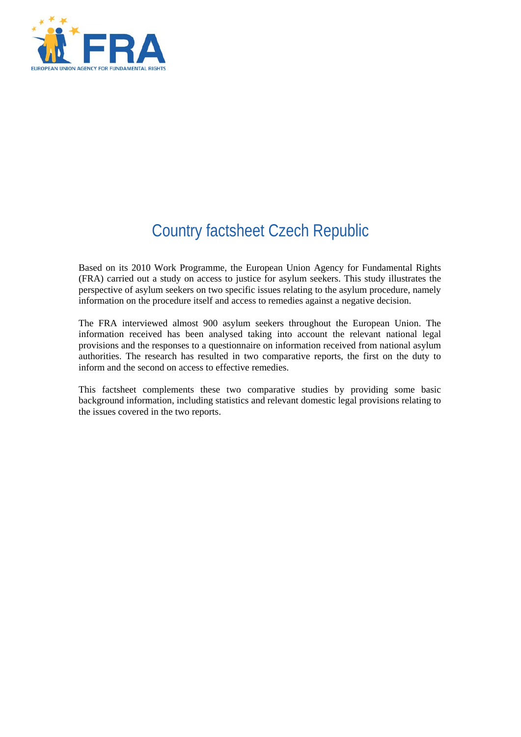

# Country factsheet Czech Republic

Based on its 2010 Work Programme, the European Union Agency for Fundamental Rights (FRA) carried out a study on access to justice for asylum seekers. This study illustrates the perspective of asylum seekers on two specific issues relating to the asylum procedure, namely information on the procedure itself and access to remedies against a negative decision.

The FRA interviewed almost 900 asylum seekers throughout the European Union. The information received has been analysed taking into account the relevant national legal provisions and the responses to a questionnaire on information received from national asylum authorities. The research has resulted in two comparative reports, the first on the duty to inform and the second on access to effective remedies.

This factsheet complements these two comparative studies by providing some basic background information, including statistics and relevant domestic legal provisions relating to the issues covered in the two reports.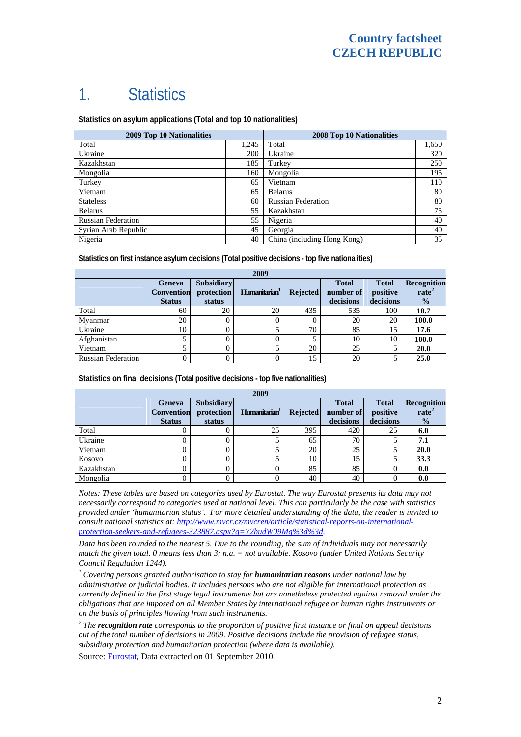## 1. Statistics

**Statistics on asylum applications (Total and top 10 nationalities)**

| <b>2009 Top 10 Nationalities</b> | <b>2008 Top 10 Nationalities</b> |                             |       |
|----------------------------------|----------------------------------|-----------------------------|-------|
| Total                            | 1.245                            | Total                       | 1,650 |
| Ukraine                          | 200                              | Ukraine                     | 320   |
| Kazakhstan                       | 185                              | Turkey                      | 250   |
| Mongolia                         | 160                              | Mongolia                    | 195   |
| Turkey                           | 65                               | Vietnam                     | 110   |
| Vietnam                          | 65                               | <b>Belarus</b>              | 80    |
| <b>Stateless</b>                 | 60                               | <b>Russian Federation</b>   | 80    |
| <b>Belarus</b>                   | 55                               | Kazakhstan                  | 75    |
| <b>Russian Federation</b>        | 55                               | Nigeria                     | 40    |
| Syrian Arab Republic             | 45                               | Georgia                     | 40    |
| Nigeria                          | 40                               | China (including Hong Kong) | 35    |

**Statistics on first instance asylum decisions (Total positive decisions - top five nationalities)**

| 2009                      |                                              |                                           |                           |                 |                                        |                                       |                                                   |
|---------------------------|----------------------------------------------|-------------------------------------------|---------------------------|-----------------|----------------------------------------|---------------------------------------|---------------------------------------------------|
|                           | Geneva<br><b>Convention</b><br><b>Status</b> | <b>Subsidiary</b><br>protection<br>status | Humanitarian <sup>1</sup> | <b>Rejected</b> | <b>Total</b><br>number of<br>decisions | <b>Total</b><br>positive<br>decisions | Recognition<br>rate <sup>2</sup><br>$\frac{1}{2}$ |
| Total                     | 60                                           | 20                                        | 20                        | 435             | 535                                    | 100                                   | 18.7                                              |
| Mvanmar                   | 20                                           |                                           |                           | $\theta$        | 20                                     | 20                                    | 100.0                                             |
| Ukraine                   | 10                                           |                                           |                           | 70              | 85                                     | 15                                    | 17.6                                              |
| Afghanistan               |                                              |                                           |                           |                 | 10                                     | 10                                    | 100.0                                             |
| Vietnam                   |                                              |                                           |                           | 20              | 25                                     |                                       | 20.0                                              |
| <b>Russian Federation</b> |                                              |                                           |                           | 15              | 20                                     |                                       | 25.0                                              |

**Statistics on final decisions (Total positive decisions - top five nationalities)** 

| 2009       |                                              |                                           |                           |                 |                                        |                                       |                                                   |
|------------|----------------------------------------------|-------------------------------------------|---------------------------|-----------------|----------------------------------------|---------------------------------------|---------------------------------------------------|
|            | Geneva<br><b>Convention</b><br><b>Status</b> | <b>Subsidiary</b><br>protection<br>status | Humanitarian <sup>1</sup> | <b>Rejected</b> | <b>Total</b><br>number of<br>decisions | <b>Total</b><br>positive<br>decisions | Recognition<br>rate <sup>2</sup><br>$\frac{0}{0}$ |
| Total      |                                              |                                           | 25                        | 395             | 420                                    | 25                                    | 6.0                                               |
| Ukraine    |                                              |                                           |                           | 65              | 70                                     |                                       | 7.1                                               |
| Vietnam    |                                              |                                           |                           | 20              | 25                                     |                                       | 20.0                                              |
| Kosovo     |                                              |                                           |                           | 10              | 15                                     |                                       | 33.3                                              |
| Kazakhstan |                                              |                                           |                           | 85              | 85                                     |                                       | 0.0                                               |
| Mongolia   |                                              |                                           |                           | 40              | 40                                     |                                       | 0.0                                               |

*Notes: These tables are based on categories used by Eurostat. The way Eurostat presents its data may not necessarily correspond to categories used at national level. This can particularly be the case with statistics provided under 'humanitarian status'. For more detailed understanding of the data, the reader is invited to consult national statistics at: [http://www.mvcr.cz/mvcren/article/statistical-reports-on-international](http://www.mvcr.cz/mvcren/article/statistical-reports-on-international-protection-seekers-and-refugees-323887.aspx?q=Y2hudW09Mg%3d%3d)[protection-seekers-and-refugees-323887.aspx?q=Y2hudW09Mg%3d%3d](http://www.mvcr.cz/mvcren/article/statistical-reports-on-international-protection-seekers-and-refugees-323887.aspx?q=Y2hudW09Mg%3d%3d).* 

*Data has been rounded to the nearest 5. Due to the rounding, the sum of individuals may not necessarily match the given total. 0 means less than 3; n.a. = not available. Kosovo (under United Nations Security Council Regulation 1244).* 

<sup>1</sup> Covering persons granted authorisation to stay for **humanitarian reasons** under national law by *administrative or judicial bodies. It includes persons who are not eligible for international protection as currently defined in the first stage legal instruments but are nonetheless protected against removal under the obligations that are imposed on all Member States by international refugee or human rights instruments or on the basis of principles flowing from such instruments.* 

*2 The recognition rate corresponds to the proportion of positive first instance or final on appeal decisions out of the total number of decisions in 2009. Positive decisions include the provision of refugee status, subsidiary protection and humanitarian protection (where data is available).* 

Source: [Eurostat](http://epp.eurostat.ec.europa.eu/), Data extracted on 01 September 2010.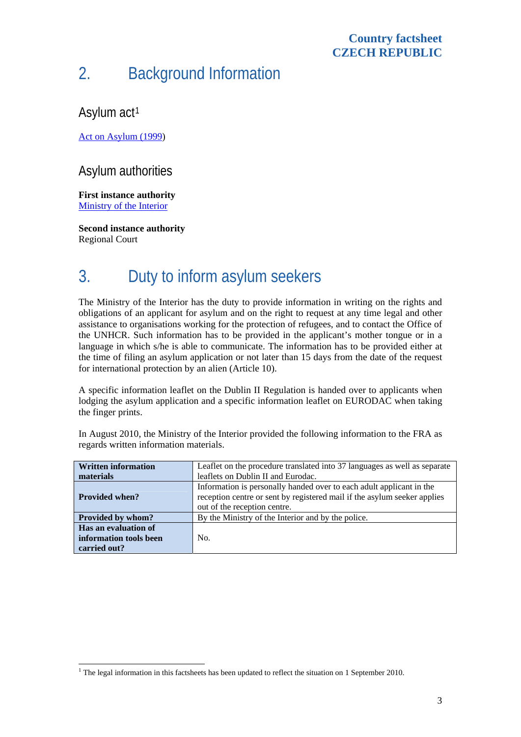#### **Country factsheet CZECH REPUBLIC**

## 2. Background Information

### Asylum act<sup>[1](#page-2-0)</sup>

[Act on Asylum \(1999\)](http://www.unhcr.org/refworld/category,LEGAL,,,CZE,4a7a97bfc33,0.html)

#### Asylum authorities

**First instance authority**  [Ministry of the Interior](http://www.mvcr.cz/mvcren/asylum-migration-integration.aspx)

**Second instance authority**  Regional Court

## 3. Duty to inform asylum seekers

The Ministry of the Interior has the duty to provide information in writing on the rights and obligations of an applicant for asylum and on the right to request at any time legal and other assistance to organisations working for the protection of refugees, and to contact the Office of the UNHCR. Such information has to be provided in the applicant's mother tongue or in a language in which s/he is able to communicate. The information has to be provided either at the time of filing an asylum application or not later than 15 days from the date of the request for international protection by an alien (Article 10).

A specific information leaflet on the Dublin II Regulation is handed over to applicants when lodging the asylum application and a specific information leaflet on EURODAC when taking the finger prints.

| <b>Written information</b> | Leaflet on the procedure translated into 37 languages as well as separate |  |  |  |
|----------------------------|---------------------------------------------------------------------------|--|--|--|
| materials                  | leaflets on Dublin II and Eurodac.                                        |  |  |  |
|                            | Information is personally handed over to each adult applicant in the      |  |  |  |
| <b>Provided when?</b>      | reception centre or sent by registered mail if the asylum seeker applies  |  |  |  |
|                            | out of the reception centre.                                              |  |  |  |
| Provided by whom?          | By the Ministry of the Interior and by the police.                        |  |  |  |
| Has an evaluation of       |                                                                           |  |  |  |
| information tools been     | No.                                                                       |  |  |  |
| carried out?               |                                                                           |  |  |  |

In August 2010, the Ministry of the Interior provided the following information to the FRA as regards written information materials.

<span id="page-2-0"></span>l <sup>1</sup> The legal information in this factsheets has been updated to reflect the situation on 1 September 2010.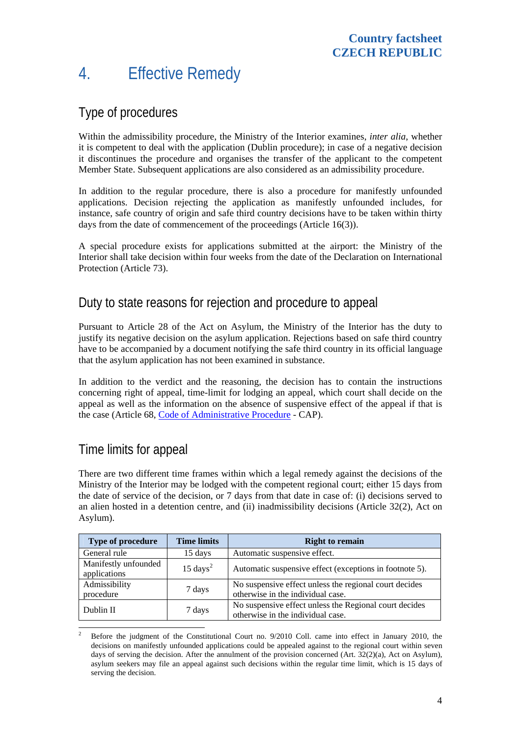### 4. Effective Remedy

#### Type of procedures

Within the admissibility procedure, the Ministry of the Interior examines, *inter alia*, whether it is competent to deal with the application (Dublin procedure); in case of a negative decision it discontinues the procedure and organises the transfer of the applicant to the competent Member State. Subsequent applications are also considered as an admissibility procedure.

In addition to the regular procedure, there is also a procedure for manifestly unfounded applications. Decision rejecting the application as manifestly unfounded includes, for instance, safe country of origin and safe third country decisions have to be taken within thirty days from the date of commencement of the proceedings (Article 16(3)).

A special procedure exists for applications submitted at the airport: the Ministry of the Interior shall take decision within four weeks from the date of the Declaration on International Protection (Article 73).

#### Duty to state reasons for rejection and procedure to appeal

Pursuant to Article 28 of the Act on Asylum, the Ministry of the Interior has the duty to justify its negative decision on the asylum application. Rejections based on safe third country have to be accompanied by a document notifying the safe third country in its official language that the asylum application has not been examined in substance.

In addition to the verdict and the reasoning, the decision has to contain the instructions concerning right of appeal, time-limit for lodging an appeal, which court shall decide on the appeal as well as the information on the absence of suspensive effect of the appeal if that is the case (Article 68, [Code of Administrative Procedure](http://www.nssoud.cz/docs/cap2004.pdf) - CAP).

#### Time limits for appeal

There are two different time frames within which a legal remedy against the decisions of the Ministry of the Interior may be lodged with the competent regional court; either 15 days from the date of service of the decision, or 7 days from that date in case of: (i) decisions served to an alien hosted in a detention centre, and (ii) inadmissibility decisions (Article 32(2), Act on Asylum).

| <b>Type of procedure</b>             | <b>Time limits</b>  | <b>Right to remain</b>                                                                      |
|--------------------------------------|---------------------|---------------------------------------------------------------------------------------------|
| General rule                         | 15 days             | Automatic suspensive effect.                                                                |
| Manifestly unfounded<br>applications | $15 \text{ days}^2$ | Automatic suspensive effect (exceptions in footnote 5).                                     |
| Admissibility<br>procedure           | 7 days              | No suspensive effect unless the regional court decides<br>otherwise in the individual case. |
| Dublin II                            | 7 days              | No suspensive effect unless the Regional court decides<br>otherwise in the individual case. |
|                                      |                     |                                                                                             |

<span id="page-3-0"></span><sup>2</sup> Before the judgment of the Constitutional Court no. 9/2010 Coll. came into effect in January 2010, the decisions on manifestly unfounded applications could be appealed against to the regional court within seven days of serving the decision. After the annulment of the provision concerned (Art. 32(2)(a), Act on Asylum), asylum seekers may file an appeal against such decisions within the regular time limit, which is 15 days of serving the decision.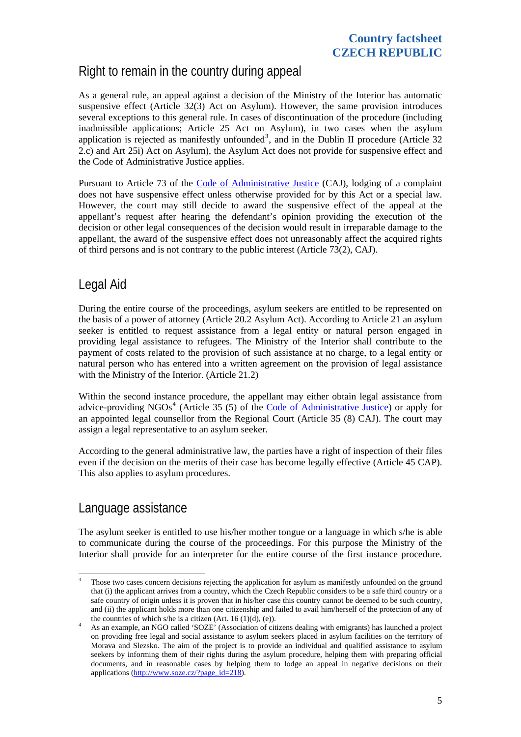### Right to remain in the country during appeal

As a general rule, an appeal against a decision of the Ministry of the Interior has automatic suspensive effect (Article 32(3) Act on Asylum). However, the same provision introduces several exceptions to this general rule. In cases of discontinuation of the procedure (including inadmissible applications; Article 25 Act on Asylum), in two cases when the asylum application is rejected as manifestly unfounded<sup>[3](#page-4-0)</sup>, and in the Dublin II procedure (Article 32 2.c) and Art 25i) Act on Asylum), the Asylum Act does not provide for suspensive effect and the Code of Administrative Justice applies.

Pursuant to Article 73 of the [Code of Administrative Justice](http://www.nssoud.cz/docs/caj2002.pdf) (CAJ), lodging of a complaint does not have suspensive effect unless otherwise provided for by this Act or a special law. However, the court may still decide to award the suspensive effect of the appeal at the appellant's request after hearing the defendant's opinion providing the execution of the decision or other legal consequences of the decision would result in irreparable damage to the appellant, the award of the suspensive effect does not unreasonably affect the acquired rights of third persons and is not contrary to the public interest (Article 73(2), CAJ).

### Legal Aid

During the entire course of the proceedings, asylum seekers are entitled to be represented on the basis of a power of attorney (Article 20.2 Asylum Act). According to Article 21 an asylum seeker is entitled to request assistance from a legal entity or natural person engaged in providing legal assistance to refugees. The Ministry of the Interior shall contribute to the payment of costs related to the provision of such assistance at no charge, to a legal entity or natural person who has entered into a written agreement on the provision of legal assistance with the Ministry of the Interior. (Article 21.2)

Within the second instance procedure, the appellant may either obtain legal assistance from advice-providing NGOs<sup>[4](#page-4-1)</sup> (Article 35 (5) of the [Code of Administrative Justice](http://www.nssoud.cz/docs/caj2002.pdf)) or apply for an appointed legal counsellor from the Regional Court (Article 35 (8) CAJ). The court may assign a legal representative to an asylum seeker.

According to the general administrative law, the parties have a right of inspection of their files even if the decision on the merits of their case has become legally effective (Article 45 CAP). This also applies to asylum procedures.

#### Language assistance

The asylum seeker is entitled to use his/her mother tongue or a language in which s/he is able to communicate during the course of the proceedings. For this purpose the Ministry of the Interior shall provide for an interpreter for the entire course of the first instance procedure.

<span id="page-4-0"></span><sup>&</sup>lt;sup>2</sup><br>3 Those two cases concern decisions rejecting the application for asylum as manifestly unfounded on the ground that (i) the applicant arrives from a country, which the Czech Republic considers to be a safe third country or a safe country of origin unless it is proven that in his/her case this country cannot be deemed to be such country, and (ii) the applicant holds more than one citizenship and failed to avail him/herself of the protection of any of the countries of which s/he is a citizen (Art. 16 (1)(d), (e)).

<span id="page-4-1"></span>As an example, an NGO called 'SOZE' (Association of citizens dealing with emigrants) has launched a project on providing free legal and social assistance to asylum seekers placed in asylum facilities on the territory of Morava and Slezsko. The aim of the project is to provide an individual and qualified assistance to asylum seekers by informing them of their rights during the asylum procedure, helping them with preparing official documents, and in reasonable cases by helping them to lodge an appeal in negative decisions on their applications ([http://www.soze.cz/?page\\_id=218\)](http://www.soze.cz/?page_id=218).